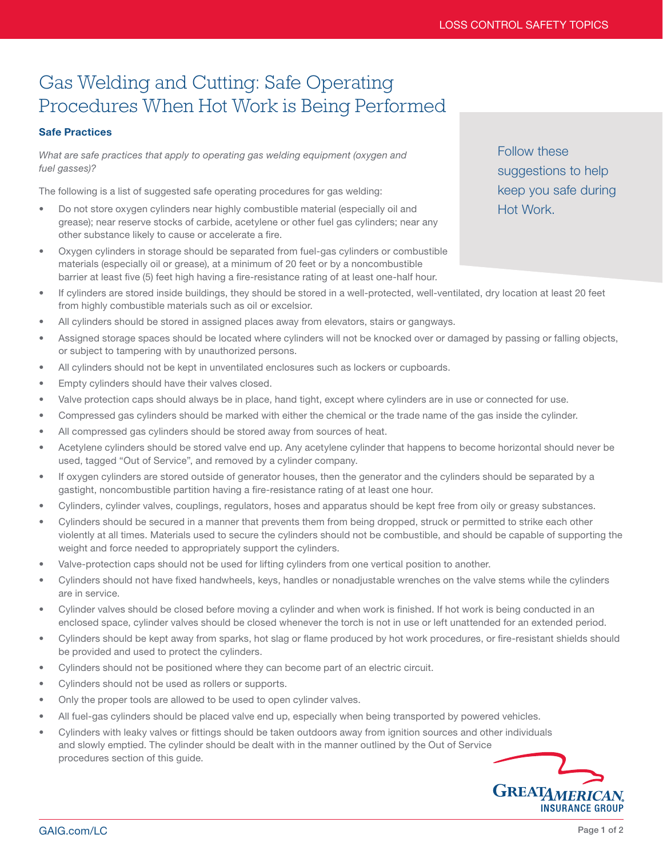## Gas Welding and Cutting: Safe Operating Procedures When Hot Work is Being Performed

## Safe Practices

*What are safe practices that apply to operating gas welding equipment (oxygen and fuel gasses)?*

The following is a list of suggested safe operating procedures for gas welding:

- Do not store oxygen cylinders near highly combustible material (especially oil and grease); near reserve stocks of carbide, acetylene or other fuel gas cylinders; near any other substance likely to cause or accelerate a fire.
- Oxygen cylinders in storage should be separated from fuel-gas cylinders or combustible materials (especially oil or grease), at a minimum of 20 feet or by a noncombustible barrier at least five (5) feet high having a fire-resistance rating of at least one-half hour.

Follow these suggestions to help keep you safe during Hot Work.

- If cylinders are stored inside buildings, they should be stored in a well-protected, well-ventilated, dry location at least 20 feet from highly combustible materials such as oil or excelsior.
- All cylinders should be stored in assigned places away from elevators, stairs or gangways.
- Assigned storage spaces should be located where cylinders will not be knocked over or damaged by passing or falling objects, or subject to tampering with by unauthorized persons.
- All cylinders should not be kept in unventilated enclosures such as lockers or cupboards.
- Empty cylinders should have their valves closed.
- Valve protection caps should always be in place, hand tight, except where cylinders are in use or connected for use.
- Compressed gas cylinders should be marked with either the chemical or the trade name of the gas inside the cylinder.
- All compressed gas cylinders should be stored away from sources of heat.
- Acetylene cylinders should be stored valve end up. Any acetylene cylinder that happens to become horizontal should never be used, tagged "Out of Service", and removed by a cylinder company.
- If oxygen cylinders are stored outside of generator houses, then the generator and the cylinders should be separated by a gastight, noncombustible partition having a fire-resistance rating of at least one hour.
- Cylinders, cylinder valves, couplings, regulators, hoses and apparatus should be kept free from oily or greasy substances.
- Cylinders should be secured in a manner that prevents them from being dropped, struck or permitted to strike each other violently at all times. Materials used to secure the cylinders should not be combustible, and should be capable of supporting the weight and force needed to appropriately support the cylinders.
- Valve-protection caps should not be used for lifting cylinders from one vertical position to another.
- Cylinders should not have fixed handwheels, keys, handles or nonadjustable wrenches on the valve stems while the cylinders are in service.
- Cylinder valves should be closed before moving a cylinder and when work is finished. If hot work is being conducted in an enclosed space, cylinder valves should be closed whenever the torch is not in use or left unattended for an extended period.
- Cylinders should be kept away from sparks, hot slag or flame produced by hot work procedures, or fire-resistant shields should be provided and used to protect the cylinders.
- Cylinders should not be positioned where they can become part of an electric circuit.
- Cylinders should not be used as rollers or supports.
- Only the proper tools are allowed to be used to open cylinder valves.
- All fuel-gas cylinders should be placed valve end up, especially when being transported by powered vehicles.
- Cylinders with leaky valves or fittings should be taken outdoors away from ignition sources and other individuals and slowly emptied. The cylinder should be dealt with in the manner outlined by the Out of Service procedures section of this guide.